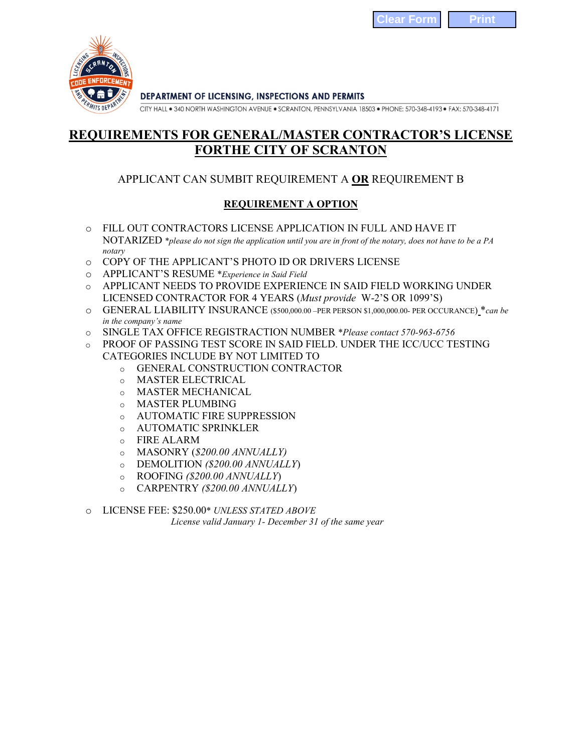

CITY HALL . 340 NORTH WASHINGTON AVENUE . SCRANTON, PENNSYLVANIA 18503 . PHONE: 570-348-4193 . FAX: 570-348-4171

## **REQUIREMENTS FOR GENERAL/MASTER CONTRACTOR'S LICENSE FORTHE CITY OF SCRANTON**

## APPLICANT CAN SUMBIT REQUIREMENT A **OR** REQUIREMENT B

## **REQUIREMENT A OPTION**

- o FILL OUT CONTRACTORS LICENSE APPLICATION IN FULL AND HAVE IT NOTARIZED \**please do not sign the application until you are in front of the notary, does not have to be a PA notary*
- o COPY OF THE APPLICANT'S PHOTO ID OR DRIVERS LICENSE
- o APPLICANT'S RESUME \**Experience in Said Field*
- o APPLICANT NEEDS TO PROVIDE EXPERIENCE IN SAID FIELD WORKING UNDER LICENSED CONTRACTOR FOR 4 YEARS (*Must provide* W-2'S OR 1099'S)
- o GENERAL LIABILITY INSURANCE (\$500,000.00 –PER PERSON \$1,000,000.00- PER OCCURANCE) \**can be in the company's name*
- o SINGLE TAX OFFICE REGISTRACTION NUMBER \**Please contact 570-963-6756*
- o PROOF OF PASSING TEST SCORE IN SAID FIELD. UNDER THE ICC/UCC TESTING CATEGORIES INCLUDE BY NOT LIMITED TO
	- o GENERAL CONSTRUCTION CONTRACTOR
	- o MASTER ELECTRICAL
	- o MASTER MECHANICAL
	- o MASTER PLUMBING
	- o AUTOMATIC FIRE SUPPRESSION
	- o AUTOMATIC SPRINKLER
	- o FIRE ALARM
	- o MASONRY (*\$200.00 ANNUALLY)*
	- o DEMOLITION *(\$200.00 ANNUALLY*)
	- o ROOFING *(\$200.00 ANNUALLY*)
	- o CARPENTRY *(\$200.00 ANNUALLY*)
- o LICENSE FEE: \$250.00\* *UNLESS STATED ABOVE*

*License valid January 1- December 31 of the same year*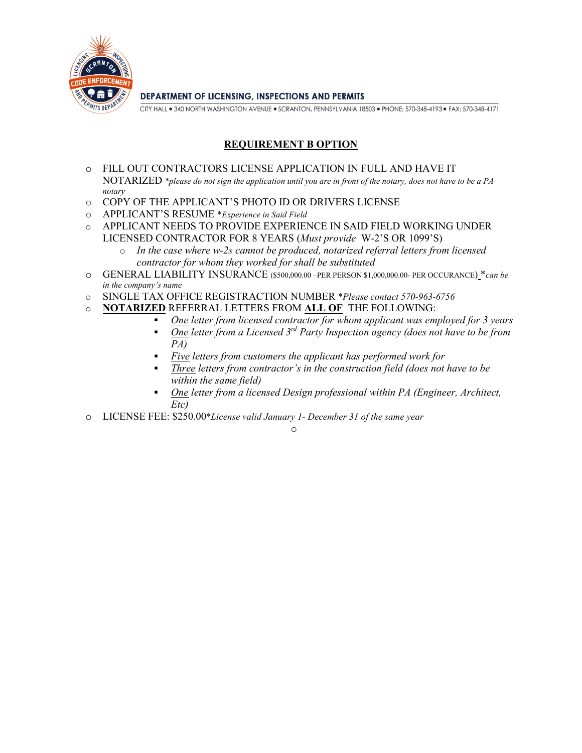

CITY HALL . 340 NORTH WASHINGTON AVENUE . SCRANTON, PENNSYLVANIA 18503 . PHONE: 570-348-4193 . FAX: 570-348-4171

## **REQUIREMENT B OPTION**

- o FILL OUT CONTRACTORS LICENSE APPLICATION IN FULL AND HAVE IT NOTARIZED \**please do not sign the application until you are in front of the notary, does not have to be a PA notary*
- o COPY OF THE APPLICANT'S PHOTO ID OR DRIVERS LICENSE
- o APPLICANT'S RESUME \**Experience in Said Field*
- o APPLICANT NEEDS TO PROVIDE EXPERIENCE IN SAID FIELD WORKING UNDER LICENSED CONTRACTOR FOR 8 YEARS (*Must provide* W-2'S OR 1099'S)
	- o *In the case where w-2s cannot be produced, notarized referral letters from licensed contractor for whom they worked for shall be substituted*
- o GENERAL LIABILITY INSURANCE (\$500,000.00 –PER PERSON \$1,000,000.00- PER OCCURANCE) \**can be in the company's name*
- o SINGLE TAX OFFICE REGISTRACTION NUMBER \**Please contact 570-963-6756*
- o **NOTARIZED** REFERRAL LETTERS FROM **ALL OF** THE FOLLOWING:
	- *One letter from licensed contractor for whom applicant was employed for 3 years*
	- *One* letter from a Licensed 3<sup>rd</sup> Party Inspection agency (does not have to be from *PA)*
	- *Five letters from customers the applicant has performed work for*

o

- *Three letters from contractor's in the construction field (does not have to be within the same field)*
- *One letter from a licensed Design professional within PA (Engineer, Architect, Etc)*
- o LICENSE FEE: \$250.00\**License valid January 1- December 31 of the same year*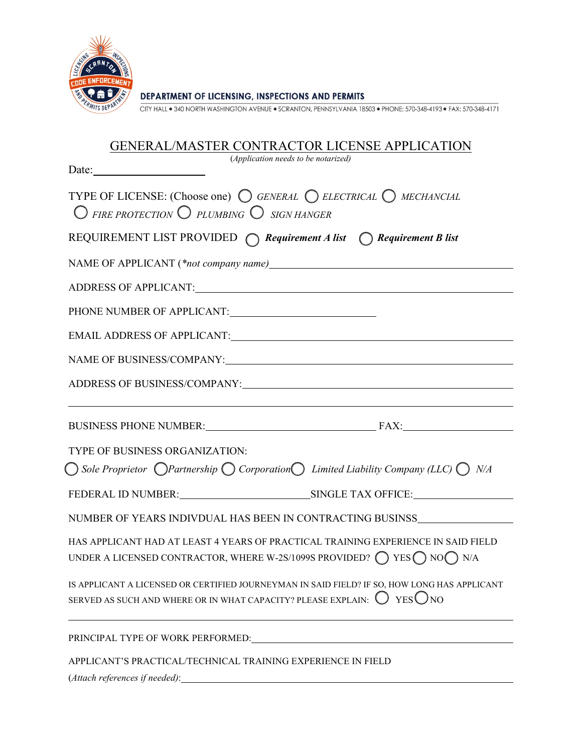

CITY HALL . 340 NORTH WASHINGTON AVENUE . SCRANTON, PENNSYLVANIA 18503 . PHONE: 570-348-4193 . FAX: 570-348-4171

| <b>GENERAL/MASTER CONTRACTOR LICENSE APPLICATION</b>                                                                                                                  |  |  |  |  |  |  |
|-----------------------------------------------------------------------------------------------------------------------------------------------------------------------|--|--|--|--|--|--|
| (Application needs to be notarized)<br>Date:                                                                                                                          |  |  |  |  |  |  |
| TYPE OF LICENSE: (Choose one) $\bigcirc$ GENERAL $\bigcirc$ ELECTRICAL $\bigcirc$ MECHANCIAL<br>$\bigcirc$ FIRE PROTECTION $\bigcirc$ PLUMBING $\bigcirc$ sign HANGER |  |  |  |  |  |  |
| REQUIREMENT LIST PROVIDED $\bigcap$ Requirement A list $\bigcap$ Requirement B list                                                                                   |  |  |  |  |  |  |
| NAME OF APPLICANT (*not company name)                                                                                                                                 |  |  |  |  |  |  |
|                                                                                                                                                                       |  |  |  |  |  |  |
|                                                                                                                                                                       |  |  |  |  |  |  |
|                                                                                                                                                                       |  |  |  |  |  |  |
| NAME OF BUSINESS/COMPANY:                                                                                                                                             |  |  |  |  |  |  |
| ADDRESS OF BUSINESS/COMPANY:                                                                                                                                          |  |  |  |  |  |  |
|                                                                                                                                                                       |  |  |  |  |  |  |
| BUSINESS PHONE NUMBER: FAX:                                                                                                                                           |  |  |  |  |  |  |
| TYPE OF BUSINESS ORGANIZATION:                                                                                                                                        |  |  |  |  |  |  |
| $\bigcirc$ Sole Proprietor $\bigcirc$ Partnership $\bigcirc$ Corporation $\bigcirc$ Limited Liability Company (LLC) $\bigcirc$ N/A                                    |  |  |  |  |  |  |
|                                                                                                                                                                       |  |  |  |  |  |  |
| NUMBER OF YEARS INDIVDUAL HAS BEEN IN CONTRACTING BUSINSS                                                                                                             |  |  |  |  |  |  |
| HAS APPLICANT HAD AT LEAST 4 YEARS OF PRACTICAL TRAINING EXPERIENCE IN SAID FIELD                                                                                     |  |  |  |  |  |  |
| UNDER A LICENSED CONTRACTOR, WHERE W-2S/1099S PROVIDED? $\bigcirc$ YES $\bigcirc$ NO $\bigcirc$ N/A                                                                   |  |  |  |  |  |  |
| IS APPLICANT A LICENSED OR CERTIFIED JOURNEYMAN IN SAID FIELD? IF SO, HOW LONG HAS APPLICANT                                                                          |  |  |  |  |  |  |
| SERVED AS SUCH AND WHERE OR IN WHAT CAPACITY? PLEASE EXPLAIN: $\bigcup$ YES $\bigcirc$ NO                                                                             |  |  |  |  |  |  |
|                                                                                                                                                                       |  |  |  |  |  |  |
| APPLICANT'S PRACTICAL/TECHNICAL TRAINING EXPERIENCE IN FIELD                                                                                                          |  |  |  |  |  |  |
|                                                                                                                                                                       |  |  |  |  |  |  |